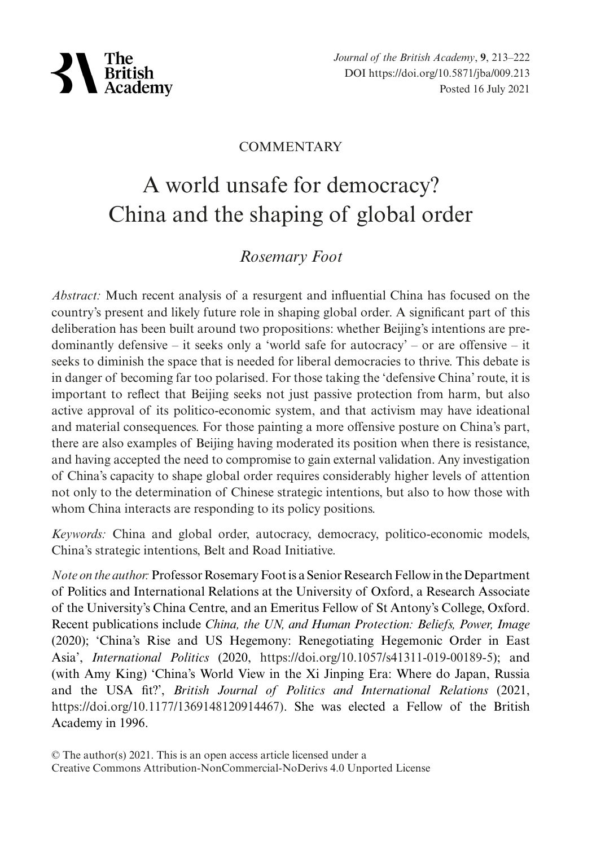

*Journal of the British Academy*, **9**, 213–222 DOI https://doi.org/10.5871/jba/009.213 Posted 16 July 2021

## **COMMENTARY**

# A world unsafe for democracy? China and the shaping of global order

# *Rosemary Foot*

*Abstract:* Much recent analysis of a resurgent and influential China has focused on the country's present and likely future role in shaping global order. A significant part of this deliberation has been built around two propositions: whether Beijing's intentions are predominantly defensive – it seeks only a 'world safe for autocracy' – or are offensive – it seeks to diminish the space that is needed for liberal democracies to thrive. This debate is in danger of becoming far too polarised. For those taking the 'defensive China' route, it is important to reflect that Beijing seeks not just passive protection from harm, but also active approval of its politico-economic system, and that activism may have ideational and material consequences. For those painting a more offensive posture on China's part, there are also examples of Beijing having moderated its position when there is resistance, and having accepted the need to compromise to gain external validation. Any investigation of China's capacity to shape global order requires considerably higher levels of attention not only to the determination of Chinese strategic intentions, but also to how those with whom China interacts are responding to its policy positions.

*Keywords:* China and global order, autocracy, democracy, politico-economic models, China's strategic intentions, Belt and Road Initiative.

*Note on the author:* Professor Rosemary Foot is a Senior Research Fellow in the Department of Politics and International Relations at the University of Oxford, a Research Associate of the University's China Centre, and an Emeritus Fellow of St Antony's College, Oxford. Recent publications include *China, the UN, and Human Protection: Beliefs, Power, Image* (2020); 'China's Rise and US Hegemony: Renegotiating Hegemonic Order in East Asia', *International Politics* (2020, https://doi.org/10.1057/s41311-019-00189-5); and (with Amy King) 'China's World View in the Xi Jinping Era: Where do Japan, Russia and the USA fit?', *British Journal of Politics and International Relations* (2021, https://doi.org/10.1177/1369148120914467). She was elected a Fellow of the British Academy in 1996.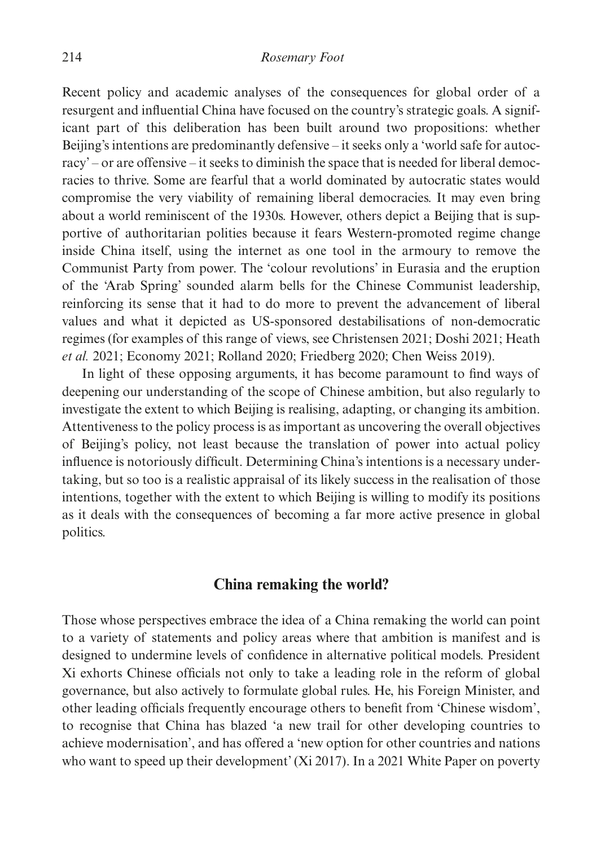#### 214 *Rosemary Foot*

Recent policy and academic analyses of the consequences for global order of a resurgent and influential China have focused on the country's strategic goals. A significant part of this deliberation has been built around two propositions: whether Beijing's intentions are predominantly defensive – it seeks only a 'world safe for autocracy' – or are offensive – it seeks to diminish the space that is needed for liberal democracies to thrive. Some are fearful that a world dominated by autocratic states would compromise the very viability of remaining liberal democracies. It may even bring about a world reminiscent of the 1930s. However, others depict a Beijing that is supportive of authoritarian polities because it fears Western-promoted regime change inside China itself, using the internet as one tool in the armoury to remove the Communist Party from power. The 'colour revolutions' in Eurasia and the eruption of the 'Arab Spring' sounded alarm bells for the Chinese Communist leadership, reinforcing its sense that it had to do more to prevent the advancement of liberal values and what it depicted as US-sponsored destabilisations of non-democratic regimes (for examples of this range of views, see Christensen 2021; Doshi 2021; Heath *et al.* 2021; Economy 2021; Rolland 2020; Friedberg 2020; Chen Weiss 2019).

In light of these opposing arguments, it has become paramount to find ways of deepening our understanding of the scope of Chinese ambition, but also regularly to investigate the extent to which Beijing is realising, adapting, or changing its ambition. Attentiveness to the policy process is as important as uncovering the overall objectives of Beijing's policy, not least because the translation of power into actual policy influence is notoriously difficult. Determining China's intentions is a necessary undertaking, but so too is a realistic appraisal of its likely success in the realisation of those intentions, together with the extent to which Beijing is willing to modify its positions as it deals with the consequences of becoming a far more active presence in global politics.

### **China remaking the world?**

Those whose perspectives embrace the idea of a China remaking the world can point to a variety of statements and policy areas where that ambition is manifest and is designed to undermine levels of confidence in alternative political models. President Xi exhorts Chinese officials not only to take a leading role in the reform of global governance, but also actively to formulate global rules. He, his Foreign Minister, and other leading officials frequently encourage others to benefit from 'Chinese wisdom', to recognise that China has blazed 'a new trail for other developing countries to achieve modernisation', and has offered a 'new option for other countries and nations who want to speed up their development' (Xi 2017). In a 2021 White Paper on poverty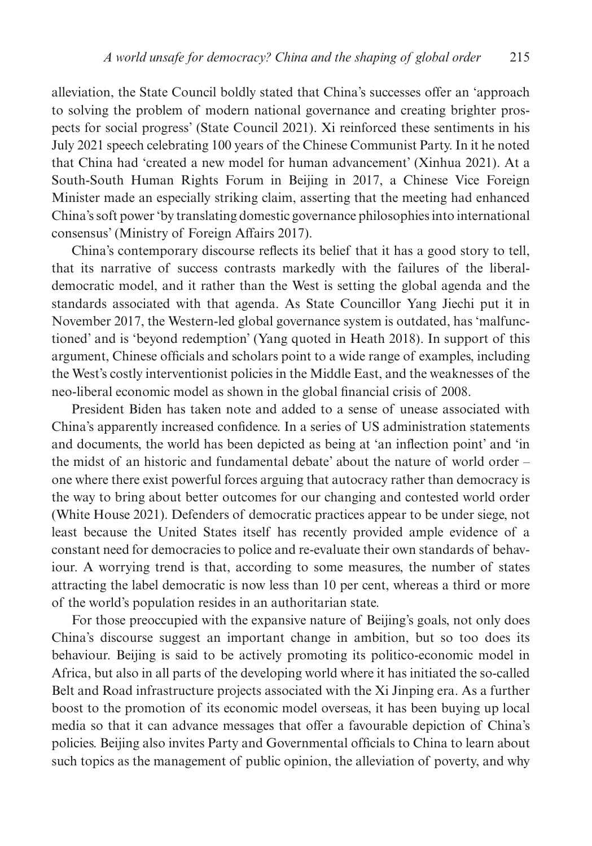alleviation, the State Council boldly stated that China's successes offer an 'approach to solving the problem of modern national governance and creating brighter prospects for social progress' (State Council 2021). Xi reinforced these sentiments in his July 2021 speech celebrating 100 years of the Chinese Communist Party. In it he noted that China had 'created a new model for human advancement' (Xinhua 2021). At a South-South Human Rights Forum in Beijing in 2017, a Chinese Vice Foreign Minister made an especially striking claim, asserting that the meeting had enhanced China's soft power 'by translating domestic governance philosophies into international consensus' (Ministry of Foreign Affairs 2017).

China's contemporary discourse reflects its belief that it has a good story to tell, that its narrative of success contrasts markedly with the failures of the liberaldemocratic model, and it rather than the West is setting the global agenda and the standards associated with that agenda. As State Councillor Yang Jiechi put it in November 2017, the Western-led global governance system is outdated, has 'malfunctioned' and is 'beyond redemption' (Yang quoted in Heath 2018). In support of this argument, Chinese officials and scholars point to a wide range of examples, including the West's costly interventionist policies in the Middle East, and the weaknesses of the neo-liberal economic model as shown in the global financial crisis of 2008.

President Biden has taken note and added to a sense of unease associated with China's apparently increased confidence. In a series of US administration statements and documents, the world has been depicted as being at 'an inflection point' and 'in the midst of an historic and fundamental debate' about the nature of world order – one where there exist powerful forces arguing that autocracy rather than democracy is the way to bring about better outcomes for our changing and contested world order (White House 2021). Defenders of democratic practices appear to be under siege, not least because the United States itself has recently provided ample evidence of a constant need for democracies to police and re-evaluate their own standards of behaviour. A worrying trend is that, according to some measures, the number of states attracting the label democratic is now less than 10 per cent, whereas a third or more of the world's population resides in an authoritarian state.

For those preoccupied with the expansive nature of Beijing's goals, not only does China's discourse suggest an important change in ambition, but so too does its behaviour. Beijing is said to be actively promoting its politico-economic model in Africa, but also in all parts of the developing world where it has initiated the so-called Belt and Road infrastructure projects associated with the Xi Jinping era. As a further boost to the promotion of its economic model overseas, it has been buying up local media so that it can advance messages that offer a favourable depiction of China's policies. Beijing also invites Party and Governmental officials to China to learn about such topics as the management of public opinion, the alleviation of poverty, and why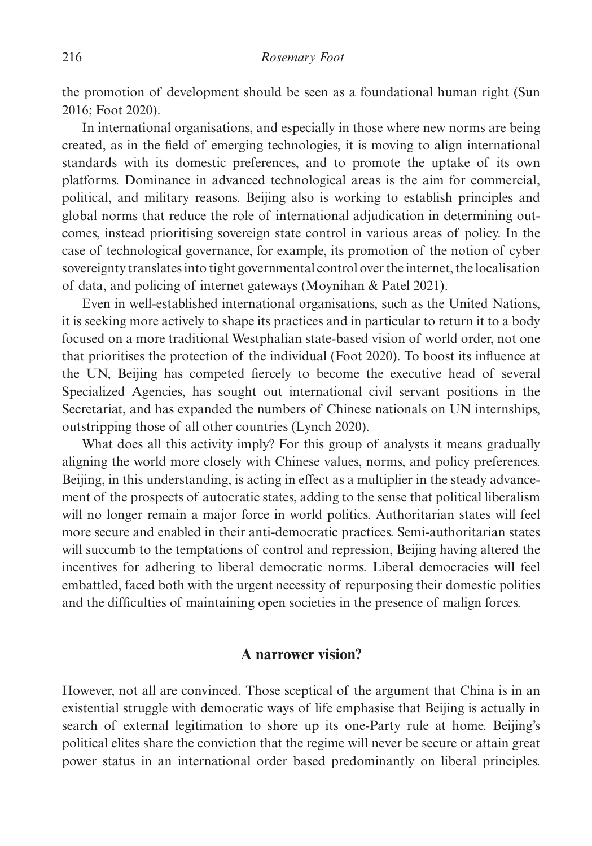the promotion of development should be seen as a foundational human right (Sun 2016; Foot 2020).

In international organisations, and especially in those where new norms are being created, as in the field of emerging technologies, it is moving to align international standards with its domestic preferences, and to promote the uptake of its own platforms. Dominance in advanced technological areas is the aim for commercial, political, and military reasons. Beijing also is working to establish principles and global norms that reduce the role of international adjudication in determining outcomes, instead prioritising sovereign state control in various areas of policy. In the case of technological governance, for example, its promotion of the notion of cyber sovereignty translates into tight governmental control over the internet, the localisation of data, and policing of internet gateways (Moynihan & Patel 2021).

Even in well-established international organisations, such as the United Nations, it is seeking more actively to shape its practices and in particular to return it to a body focused on a more traditional Westphalian state-based vision of world order, not one that prioritises the protection of the individual (Foot 2020). To boost its influence at the UN, Beijing has competed fiercely to become the executive head of several Specialized Agencies, has sought out international civil servant positions in the Secretariat, and has expanded the numbers of Chinese nationals on UN internships, outstripping those of all other countries (Lynch 2020).

What does all this activity imply? For this group of analysts it means gradually aligning the world more closely with Chinese values, norms, and policy preferences. Beijing, in this understanding, is acting in effect as a multiplier in the steady advancement of the prospects of autocratic states, adding to the sense that political liberalism will no longer remain a major force in world politics. Authoritarian states will feel more secure and enabled in their anti-democratic practices. Semi-authoritarian states will succumb to the temptations of control and repression, Beijing having altered the incentives for adhering to liberal democratic norms. Liberal democracies will feel embattled, faced both with the urgent necessity of repurposing their domestic polities and the difficulties of maintaining open societies in the presence of malign forces.

## **A narrower vision?**

However, not all are convinced. Those sceptical of the argument that China is in an existential struggle with democratic ways of life emphasise that Beijing is actually in search of external legitimation to shore up its one-Party rule at home. Beijing's political elites share the conviction that the regime will never be secure or attain great power status in an international order based predominantly on liberal principles.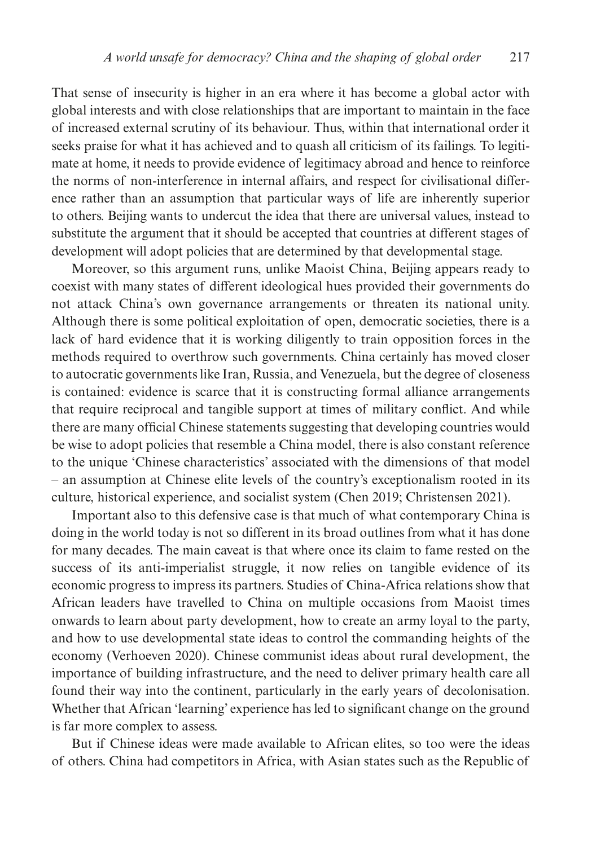That sense of insecurity is higher in an era where it has become a global actor with global interests and with close relationships that are important to maintain in the face of increased external scrutiny of its behaviour. Thus, within that international order it seeks praise for what it has achieved and to quash all criticism of its failings. To legitimate at home, it needs to provide evidence of legitimacy abroad and hence to reinforce the norms of non-interference in internal affairs, and respect for civilisational difference rather than an assumption that particular ways of life are inherently superior to others. Beijing wants to undercut the idea that there are universal values, instead to substitute the argument that it should be accepted that countries at different stages of development will adopt policies that are determined by that developmental stage.

Moreover, so this argument runs, unlike Maoist China, Beijing appears ready to coexist with many states of different ideological hues provided their governments do not attack China's own governance arrangements or threaten its national unity. Although there is some political exploitation of open, democratic societies, there is a lack of hard evidence that it is working diligently to train opposition forces in the methods required to overthrow such governments. China certainly has moved closer to autocratic governments like Iran, Russia, and Venezuela, but the degree of closeness is contained: evidence is scarce that it is constructing formal alliance arrangements that require reciprocal and tangible support at times of military conflict. And while there are many official Chinese statements suggesting that developing countries would be wise to adopt policies that resemble a China model, there is also constant reference to the unique 'Chinese characteristics' associated with the dimensions of that model – an assumption at Chinese elite levels of the country's exceptionalism rooted in its culture, historical experience, and socialist system (Chen 2019; Christensen 2021).

Important also to this defensive case is that much of what contemporary China is doing in the world today is not so different in its broad outlines from what it has done for many decades. The main caveat is that where once its claim to fame rested on the success of its anti-imperialist struggle, it now relies on tangible evidence of its economic progress to impress its partners. Studies of China-Africa relations show that African leaders have travelled to China on multiple occasions from Maoist times onwards to learn about party development, how to create an army loyal to the party, and how to use developmental state ideas to control the commanding heights of the economy (Verhoeven 2020). Chinese communist ideas about rural development, the importance of building infrastructure, and the need to deliver primary health care all found their way into the continent, particularly in the early years of decolonisation. Whether that African 'learning' experience has led to significant change on the ground is far more complex to assess.

But if Chinese ideas were made available to African elites, so too were the ideas of others. China had competitors in Africa, with Asian states such as the Republic of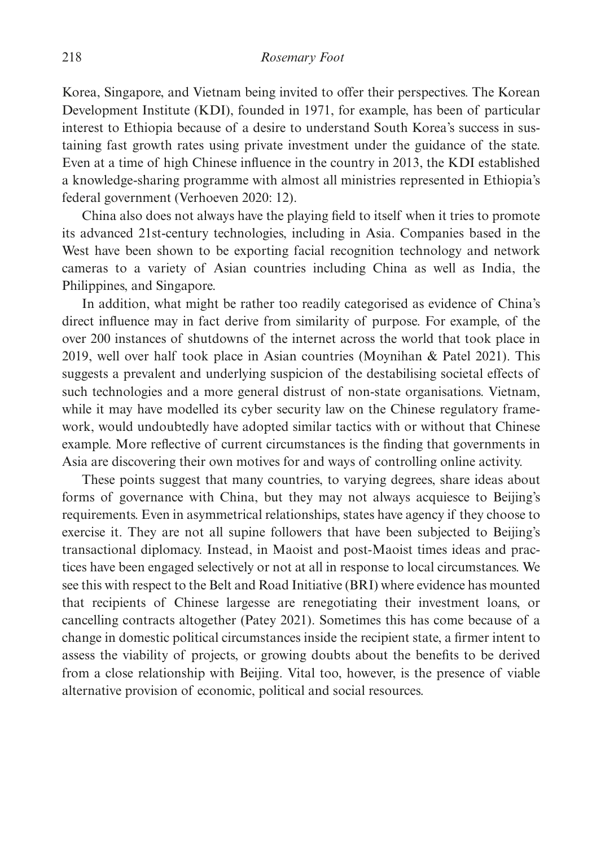Korea, Singapore, and Vietnam being invited to offer their perspectives. The Korean Development Institute (KDI), founded in 1971, for example, has been of particular interest to Ethiopia because of a desire to understand South Korea's success in sustaining fast growth rates using private investment under the guidance of the state. Even at a time of high Chinese influence in the country in 2013, the KDI established a knowledge-sharing programme with almost all ministries represented in Ethiopia's federal government (Verhoeven 2020: 12).

China also does not always have the playing field to itself when it tries to promote its advanced 21st-century technologies, including in Asia. Companies based in the West have been shown to be exporting facial recognition technology and network cameras to a variety of Asian countries including China as well as India, the Philippines, and Singapore.

In addition, what might be rather too readily categorised as evidence of China's direct influence may in fact derive from similarity of purpose. For example, of the over 200 instances of shutdowns of the internet across the world that took place in 2019, well over half took place in Asian countries (Moynihan & Patel 2021). This suggests a prevalent and underlying suspicion of the destabilising societal effects of such technologies and a more general distrust of non-state organisations. Vietnam, while it may have modelled its cyber security law on the Chinese regulatory framework, would undoubtedly have adopted similar tactics with or without that Chinese example. More reflective of current circumstances is the finding that governments in Asia are discovering their own motives for and ways of controlling online activity.

These points suggest that many countries, to varying degrees, share ideas about forms of governance with China, but they may not always acquiesce to Beijing's requirements. Even in asymmetrical relationships, states have agency if they choose to exercise it. They are not all supine followers that have been subjected to Beijing's transactional diplomacy. Instead, in Maoist and post-Maoist times ideas and practices have been engaged selectively or not at all in response to local circumstances. We see this with respect to the Belt and Road Initiative (BRI) where evidence has mounted that recipients of Chinese largesse are renegotiating their investment loans, or cancelling contracts altogether (Patey 2021). Sometimes this has come because of a change in domestic political circumstances inside the recipient state, a firmer intent to assess the viability of projects, or growing doubts about the benefits to be derived from a close relationship with Beijing. Vital too, however, is the presence of viable alternative provision of economic, political and social resources.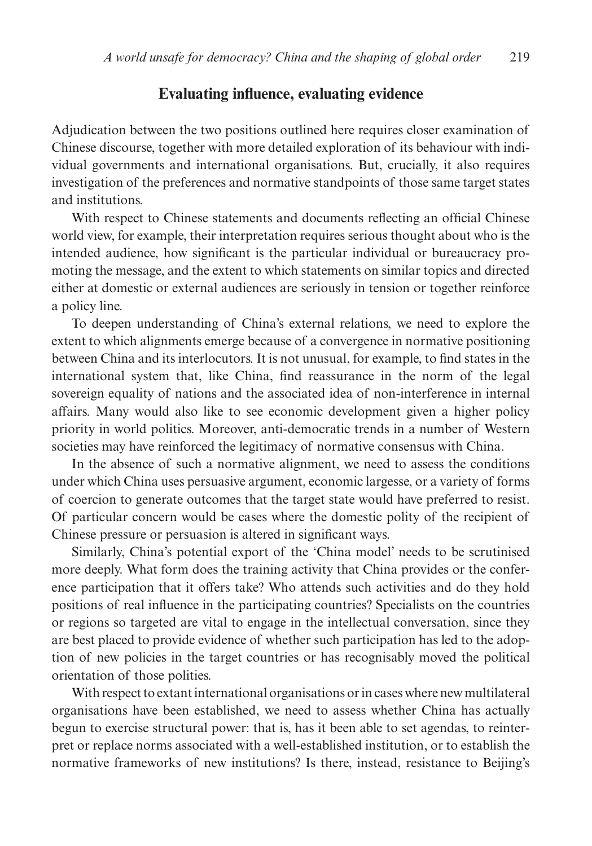#### **Evaluating influence, evaluating evidence**

Adjudication between the two positions outlined here requires closer examination of Chinese discourse, together with more detailed exploration of its behaviour with individual governments and international organisations. But, crucially, it also requires investigation of the preferences and normative standpoints of those same target states and institutions.

With respect to Chinese statements and documents reflecting an official Chinese world view, for example, their interpretation requires serious thought about who is the intended audience, how significant is the particular individual or bureaucracy promoting the message, and the extent to which statements on similar topics and directed either at domestic or external audiences are seriously in tension or together reinforce a policy line.

To deepen understanding of China's external relations, we need to explore the extent to which alignments emerge because of a convergence in normative positioning between China and its interlocutors. It is not unusual, for example, to find states in the international system that, like China, find reassurance in the norm of the legal sovereign equality of nations and the associated idea of non-interference in internal affairs. Many would also like to see economic development given a higher policy priority in world politics. Moreover, anti-democratic trends in a number of Western societies may have reinforced the legitimacy of normative consensus with China.

In the absence of such a normative alignment, we need to assess the conditions under which China uses persuasive argument, economic largesse, or a variety of forms of coercion to generate outcomes that the target state would have preferred to resist. Of particular concern would be cases where the domestic polity of the recipient of Chinese pressure or persuasion is altered in significant ways.

Similarly, China's potential export of the 'China model' needs to be scrutinised more deeply. What form does the training activity that China provides or the conference participation that it offers take? Who attends such activities and do they hold positions of real influence in the participating countries? Specialists on the countries or regions so targeted are vital to engage in the intellectual conversation, since they are best placed to provide evidence of whether such participation has led to the adoption of new policies in the target countries or has recognisably moved the political orientation of those polities.

With respect to extant international organisations or in cases where new multilateral organisations have been established, we need to assess whether China has actually begun to exercise structural power: that is, has it been able to set agendas, to reinterpret or replace norms associated with a well-established institution, or to establish the normative frameworks of new institutions? Is there, instead, resistance to Beijing's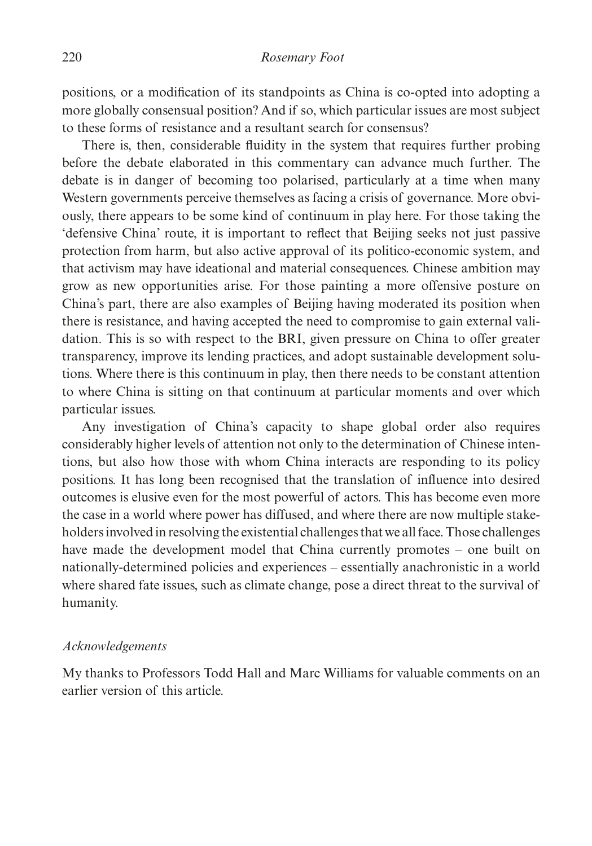positions, or a modification of its standpoints as China is co-opted into adopting a more globally consensual position? And if so, which particular issues are most subject to these forms of resistance and a resultant search for consensus?

There is, then, considerable fluidity in the system that requires further probing before the debate elaborated in this commentary can advance much further. The debate is in danger of becoming too polarised, particularly at a time when many Western governments perceive themselves as facing a crisis of governance. More obviously, there appears to be some kind of continuum in play here. For those taking the 'defensive China' route, it is important to reflect that Beijing seeks not just passive protection from harm, but also active approval of its politico-economic system, and that activism may have ideational and material consequences. Chinese ambition may grow as new opportunities arise. For those painting a more offensive posture on China's part, there are also examples of Beijing having moderated its position when there is resistance, and having accepted the need to compromise to gain external validation. This is so with respect to the BRI, given pressure on China to offer greater transparency, improve its lending practices, and adopt sustainable development solutions. Where there is this continuum in play, then there needs to be constant attention to where China is sitting on that continuum at particular moments and over which particular issues.

Any investigation of China's capacity to shape global order also requires considerably higher levels of attention not only to the determination of Chinese intentions, but also how those with whom China interacts are responding to its policy positions. It has long been recognised that the translation of influence into desired outcomes is elusive even for the most powerful of actors. This has become even more the case in a world where power has diffused, and where there are now multiple stakeholders involved in resolving the existential challenges that we all face. Those challenges have made the development model that China currently promotes – one built on nationally-determined policies and experiences – essentially anachronistic in a world where shared fate issues, such as climate change, pose a direct threat to the survival of humanity.

#### *Acknowledgements*

My thanks to Professors Todd Hall and Marc Williams for valuable comments on an earlier version of this article.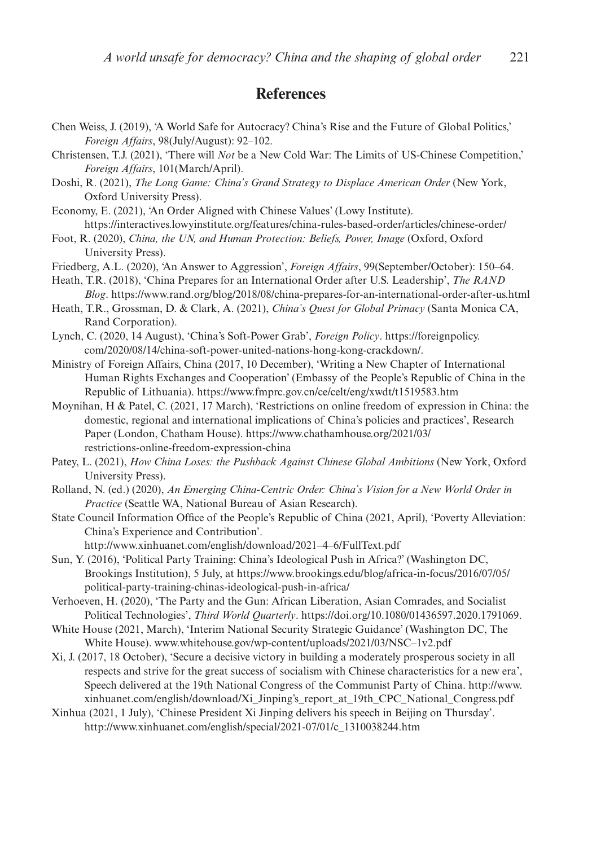## **References**

- Chen Weiss, J. (2019), 'A World Safe for Autocracy? China's Rise and the Future of Global Politics,' *Foreign Affairs*, 98(July/August): 92–102.
- Christensen, T.J. (2021), 'There will *Not* be a New Cold War: The Limits of US-Chinese Competition,' *Foreign Affairs*, 101(March/April).
- Doshi, R. (2021), *The Long Game: China's Grand Strategy to Displace American Order* (New York, Oxford University Press).
- Economy, E. (2021), 'An Order Aligned with Chinese Values' (Lowy Institute). https://interactives.lowyinstitute.org/features/china-rules-based-order/articles/chinese-order/
- Foot, R. (2020), *China, the UN, and Human Protection: Beliefs, Power, Image* (Oxford, Oxford University Press).
- Friedberg, A.L. (2020), 'An Answer to Aggression', *Foreign Affairs*, 99(September/October): 150–64.
- Heath, T.R. (2018), 'China Prepares for an International Order after U.S. Leadership', *The RAND Blog*. https://www.rand.org/blog/2018/08/china-prepares-for-an-international-order-after-us.html
- Heath, T.R., Grossman, D. & Clark, A. (2021), *China's Quest for Global Primacy* (Santa Monica CA, Rand Corporation).
- Lynch, C. (2020, 14 August), 'China's Soft-Power Grab', *Foreign Policy*. https://foreignpolicy. com/2020/08/14/china-soft-power-united-nations-hong-kong-crackdown/.
- Ministry of Foreign Affairs, China (2017, 10 December), 'Writing a New Chapter of International Human Rights Exchanges and Cooperation' (Embassy of the People's Republic of China in the Republic of Lithuania). https://www.fmprc.gov.cn/ce/celt/eng/xwdt/t1519583.htm
- Moynihan, H & Patel, C. (2021, 17 March), 'Restrictions on online freedom of expression in China: the domestic, regional and international implications of China's policies and practices', Research Paper (London, Chatham House). https://www.chathamhouse.org/2021/03/ restrictions-online-freedom-expression-china
- Patey, L. (2021), *How China Loses: the Pushback Against Chinese Global Ambitions* (New York, Oxford University Press).
- Rolland, N. (ed.) (2020), *An Emerging China-Centric Order: China's Vision for a New World Order in Practice* (Seattle WA, National Bureau of Asian Research).
- State Council Information Office of the People's Republic of China (2021, April), 'Poverty Alleviation: China's Experience and Contribution'.
	- http://www.xinhuanet.com/english/download/2021–4–6/FullText.pdf
- Sun, Y. (2016), 'Political Party Training: China's Ideological Push in Africa?' (Washington DC, Brookings Institution), 5 July, at https://www.brookings.edu/blog/africa-in-focus/2016/07/05/ political-party-training-chinas-ideological-push-in-africa/
- Verhoeven, H. (2020), 'The Party and the Gun: African Liberation, Asian Comrades, and Socialist Political Technologies', *Third World Quarterly*. https://doi.org/10.1080/01436597.2020.1791069.
- White House (2021, March), 'Interim National Security Strategic Guidance' (Washington DC, The White House). www.whitehouse.gov/wp-content/uploads/2021/03/NSC–1v2.pdf
- Xi, J. (2017, 18 October), 'Secure a decisive victory in building a moderately prosperous society in all respects and strive for the great success of socialism with Chinese characteristics for a new era', Speech delivered at the 19th National Congress of the Communist Party of China. http://www. xinhuanet.com/english/download/Xi\_Jinping's\_report\_at\_19th\_CPC\_National\_Congress.pdf
- Xinhua (2021, 1 July), 'Chinese President Xi Jinping delivers his speech in Beijing on Thursday'. http://www.xinhuanet.com/english/special/2021-07/01/c\_1310038244.htm